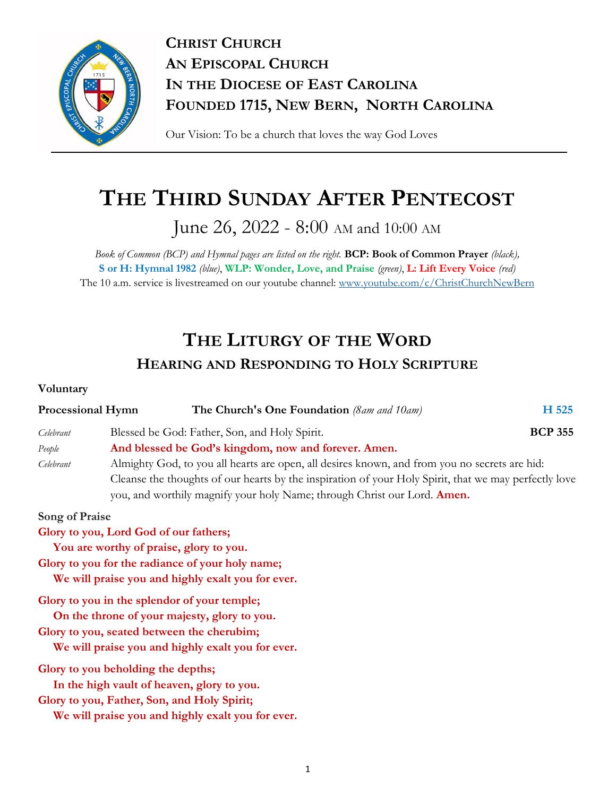

# **CHRIST CHURCH AN EPISCOPAL CHURCH IN THE DIOCESE OF EAST CAROLINA FOUNDED 1715, NEW BERN, NORTH CAROLINA**

Our Vision: To be a church that loves the way God Loves

# **THE THIRD SUNDAY AFTER PENTECOST**

June 26, 2022 - 8:00 AM and 10:00 AM

*Book of Common (BCP) and Hymnal pages are listed on the right.* **BCP: Book of Common Prayer** *(black),*  **S or H: Hymnal 1982** *(blue)*, **WLP: Wonder, Love, and Praise** *(green)*, **L: Lift Every Voice** *(red)* The 10 a.m. service is livestreamed on our youtube channel: [www.youtube.com/c/ChristChurchNewBern](http://www.youtube.com/c/ChristChurchNewBern)

# **THE LITURGY OF THE WORD HEARING AND RESPONDING TO HOLY SCRIPTURE**

# **Voluntary**

| <b>Processional Hymn</b>                                                                                                                                                                                            | The Church's One Foundation (8am and 10am)<br>H 525             |  |  |  |  |
|---------------------------------------------------------------------------------------------------------------------------------------------------------------------------------------------------------------------|-----------------------------------------------------------------|--|--|--|--|
| Celebrant                                                                                                                                                                                                           | <b>BCP 355</b><br>Blessed be God: Father, Son, and Holy Spirit. |  |  |  |  |
| People                                                                                                                                                                                                              | And blessed be God's kingdom, now and forever. Amen.            |  |  |  |  |
| Almighty God, to you all hearts are open, all desires known, and from you no secrets are hid:<br>Celebrant<br>Cleanse the thoughts of our hearts by the inspiration of your Holy Spirit, that we may perfectly love |                                                                 |  |  |  |  |
|                                                                                                                                                                                                                     |                                                                 |  |  |  |  |
| <b>Song of Praise</b>                                                                                                                                                                                               |                                                                 |  |  |  |  |
|                                                                                                                                                                                                                     | Glory to you, Lord God of our fathers;                          |  |  |  |  |
|                                                                                                                                                                                                                     | You are worthy of praise, glory to you.                         |  |  |  |  |
|                                                                                                                                                                                                                     | Glory to you for the radiance of your holy name;                |  |  |  |  |
|                                                                                                                                                                                                                     | We will praise you and highly exalt you for ever.               |  |  |  |  |
|                                                                                                                                                                                                                     | Glory to you in the splendor of your temple;                    |  |  |  |  |
|                                                                                                                                                                                                                     | On the throne of your majesty, glory to you.                    |  |  |  |  |
|                                                                                                                                                                                                                     | Glory to you, seated between the cherubim;                      |  |  |  |  |
|                                                                                                                                                                                                                     | We will praise you and highly exalt you for ever.               |  |  |  |  |
|                                                                                                                                                                                                                     | Glory to you beholding the depths;                              |  |  |  |  |
|                                                                                                                                                                                                                     | In the high vault of heaven, glory to you.                      |  |  |  |  |
|                                                                                                                                                                                                                     | Glory to you, Father, Son, and Holy Spirit;                     |  |  |  |  |
|                                                                                                                                                                                                                     | We will praise you and highly exalt you for ever.               |  |  |  |  |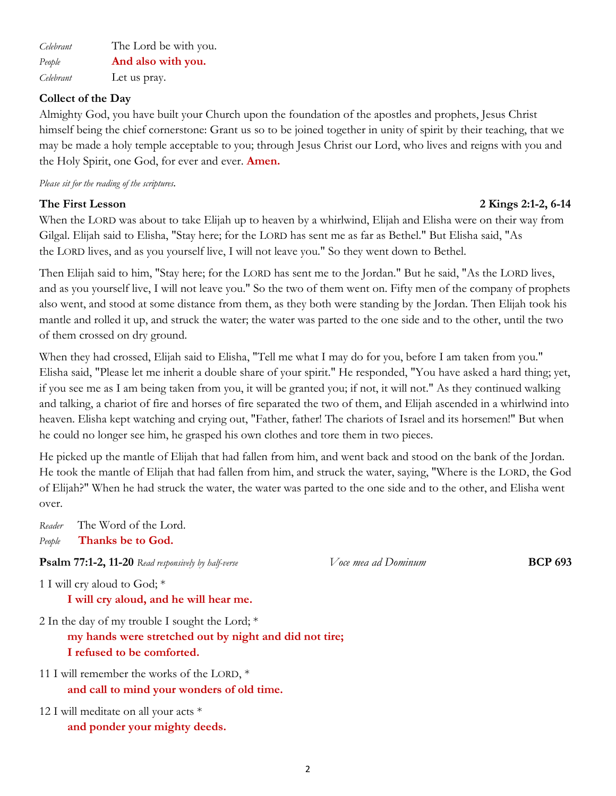*Celebrant* The Lord be with you. *People* **And also with you.** *Celebrant* Let us pray.

# **Collect of the Day**

Almighty God, you have built your Church upon the foundation of the apostles and prophets, Jesus Christ himself being the chief cornerstone: Grant us so to be joined together in unity of spirit by their teaching, that we may be made a holy temple acceptable to you; through Jesus Christ our Lord, who lives and reigns with you and the Holy Spirit, one God, for ever and ever. **Amen.**

*Please sit for the reading of the scriptures.*

# **The First Lesson 2 Kings 2:1-2, 6-14**

When the LORD was about to take Elijah up to heaven by a whirlwind, Elijah and Elisha were on their way from Gilgal. Elijah said to Elisha, "Stay here; for the LORD has sent me as far as Bethel." But Elisha said, "As the LORD lives, and as you yourself live, I will not leave you." So they went down to Bethel.

Then Elijah said to him, "Stay here; for the LORD has sent me to the Jordan." But he said, "As the LORD lives, and as you yourself live, I will not leave you." So the two of them went on. Fifty men of the company of prophets also went, and stood at some distance from them, as they both were standing by the Jordan. Then Elijah took his mantle and rolled it up, and struck the water; the water was parted to the one side and to the other, until the two of them crossed on dry ground.

When they had crossed, Elijah said to Elisha, "Tell me what I may do for you, before I am taken from you." Elisha said, "Please let me inherit a double share of your spirit." He responded, "You have asked a hard thing; yet, if you see me as I am being taken from you, it will be granted you; if not, it will not." As they continued walking and talking, a chariot of fire and horses of fire separated the two of them, and Elijah ascended in a whirlwind into heaven. Elisha kept watching and crying out, "Father, father! The chariots of Israel and its horsemen!" But when he could no longer see him, he grasped his own clothes and tore them in two pieces.

He picked up the mantle of Elijah that had fallen from him, and went back and stood on the bank of the Jordan. He took the mantle of Elijah that had fallen from him, and struck the water, saying, "Where is the LORD, the God of Elijah?" When he had struck the water, the water was parted to the one side and to the other, and Elisha went over.

*Reader* The Word of the Lord. *People* **Thanks be to God.**

**Psalm 77:1-2, 11-20** *Read responsively by half-verse Voce mea ad Dominum* **BCP 693** 

1 I will cry aloud to God; \* **I will cry aloud, and he will hear me.**

2 In the day of my trouble I sought the Lord; \*

**my hands were stretched out by night and did not tire; I refused to be comforted.**

- 11 I will remember the works of the LORD, \* **and call to mind your wonders of old time.**
- 12 I will meditate on all your acts \* **and ponder your mighty deeds.**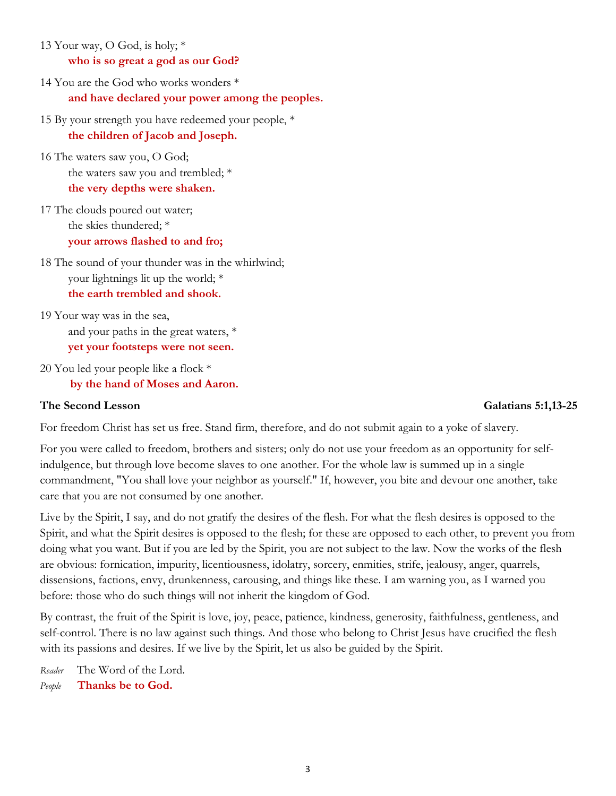13 Your way, O God, is holy; \*

#### **who is so great a god as our God?**

- 14 You are the God who works wonders \* **and have declared your power among the peoples.**
- 15 By your strength you have redeemed your people, \* **the children of Jacob and Joseph.**

16 The waters saw you, O God; the waters saw you and trembled; \* **the very depths were shaken.**

- 17 The clouds poured out water; the skies thundered; \* **your arrows flashed to and fro;**
- 18 The sound of your thunder was in the whirlwind; your lightnings lit up the world; \* **the earth trembled and shook.**
- 19 Your way was in the sea, and your paths in the great waters, \* **yet your footsteps were not seen.**
- 20 You led your people like a flock \* **by the hand of Moses and Aaron.**

#### **The Second Lesson Galatians 5:1,13-25**

For freedom Christ has set us free. Stand firm, therefore, and do not submit again to a yoke of slavery.

For you were called to freedom, brothers and sisters; only do not use your freedom as an opportunity for selfindulgence, but through love become slaves to one another. For the whole law is summed up in a single commandment, "You shall love your neighbor as yourself." If, however, you bite and devour one another, take care that you are not consumed by one another.

Live by the Spirit, I say, and do not gratify the desires of the flesh. For what the flesh desires is opposed to the Spirit, and what the Spirit desires is opposed to the flesh; for these are opposed to each other, to prevent you from doing what you want. But if you are led by the Spirit, you are not subject to the law. Now the works of the flesh are obvious: fornication, impurity, licentiousness, idolatry, sorcery, enmities, strife, jealousy, anger, quarrels, dissensions, factions, envy, drunkenness, carousing, and things like these. I am warning you, as I warned you before: those who do such things will not inherit the kingdom of God.

By contrast, the fruit of the Spirit is love, joy, peace, patience, kindness, generosity, faithfulness, gentleness, and self-control. There is no law against such things. And those who belong to Christ Jesus have crucified the flesh with its passions and desires. If we live by the Spirit, let us also be guided by the Spirit.

*Reader* The Word of the Lord. *People* **Thanks be to God.**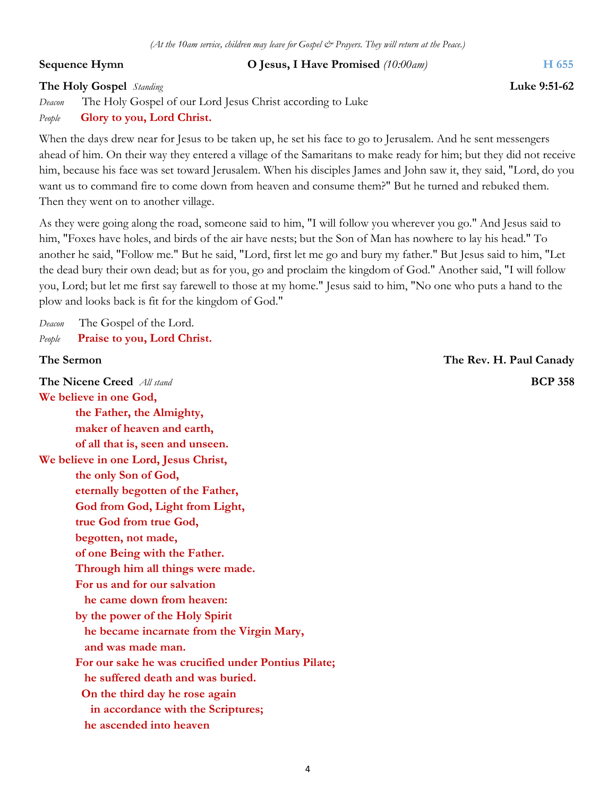#### **Sequence Hymn O Jesus, I Have Promised** *(10:00am)* **H 655**

#### **The Holy Gospel** *Standing* **Luke 9:51-62**

*Deacon* The Holy Gospel of our Lord Jesus Christ according to Luke *People* **Glory to you, Lord Christ.** 

When the days drew near for Jesus to be taken up, he set his face to go to Jerusalem. And he sent messengers ahead of him. On their way they entered a village of the Samaritans to make ready for him; but they did not receive him, because his face was set toward Jerusalem. When his disciples James and John saw it, they said, "Lord, do you want us to command fire to come down from heaven and consume them?" But he turned and rebuked them. Then they went on to another village.

As they were going along the road, someone said to him, "I will follow you wherever you go." And Jesus said to him, "Foxes have holes, and birds of the air have nests; but the Son of Man has nowhere to lay his head." To another he said, "Follow me." But he said, "Lord, first let me go and bury my father." But Jesus said to him, "Let the dead bury their own dead; but as for you, go and proclaim the kingdom of God." Another said, "I will follow you, Lord; but let me first say farewell to those at my home." Jesus said to him, "No one who puts a hand to the plow and looks back is fit for the kingdom of God."

*Deacon* The Gospel of the Lord. *People* **Praise to you, Lord Christ.**

**The Nicene Creed** *All stand* **BCP 358 We believe in one God, the Father, the Almighty, maker of heaven and earth, of all that is, seen and unseen. We believe in one Lord, Jesus Christ, the only Son of God, eternally begotten of the Father, God from God, Light from Light, true God from true God, begotten, not made, of one Being with the Father. Through him all things were made. For us and for our salvation he came down from heaven: by the power of the Holy Spirit he became incarnate from the Virgin Mary, and was made man. For our sake he was crucified under Pontius Pilate; he suffered death and was buried. On the third day he rose again in accordance with the Scriptures; he ascended into heaven** 

**The Sermon** The Rev. H. Paul Canady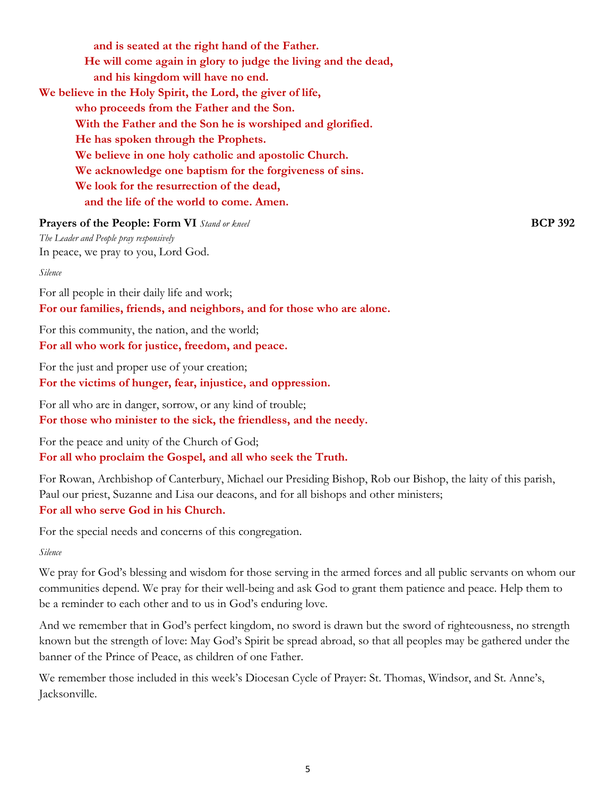**and is seated at the right hand of the Father. He will come again in glory to judge the living and the dead, and his kingdom will have no end. We believe in the Holy Spirit, the Lord, the giver of life, who proceeds from the Father and the Son. With the Father and the Son he is worshiped and glorified. He has spoken through the Prophets. We believe in one holy catholic and apostolic Church. We acknowledge one baptism for the forgiveness of sins. We look for the resurrection of the dead, and the life of the world to come. Amen.** 

**Prayers of the People: Form VI** *Stand or kneel* **BCP BCP BCP** 392

*The Leader and People pray responsively* In peace, we pray to you, Lord God.

*Silence*

For all people in their daily life and work; **For our families, friends, and neighbors, and for those who are alone.**

For this community, the nation, and the world; **For all who work for justice, freedom, and peace.**

For the just and proper use of your creation;

**For the victims of hunger, fear, injustice, and oppression.**

For all who are in danger, sorrow, or any kind of trouble; **For those who minister to the sick, the friendless, and the needy.**

For the peace and unity of the Church of God; **For all who proclaim the Gospel, and all who seek the Truth.**

For Rowan, Archbishop of Canterbury, Michael our Presiding Bishop, Rob our Bishop, the laity of this parish, Paul our priest, Suzanne and Lisa our deacons, and for all bishops and other ministers; **For all who serve God in his Church.**

For the special needs and concerns of this congregation.

*Silence*

We pray for God's blessing and wisdom for those serving in the armed forces and all public servants on whom our communities depend. We pray for their well-being and ask God to grant them patience and peace. Help them to be a reminder to each other and to us in God's enduring love.

And we remember that in God's perfect kingdom, no sword is drawn but the sword of righteousness, no strength known but the strength of love: May God's Spirit be spread abroad, so that all peoples may be gathered under the banner of the Prince of Peace, as children of one Father.

We remember those included in this week's Diocesan Cycle of Prayer: St. Thomas, Windsor, and St. Anne's, Jacksonville.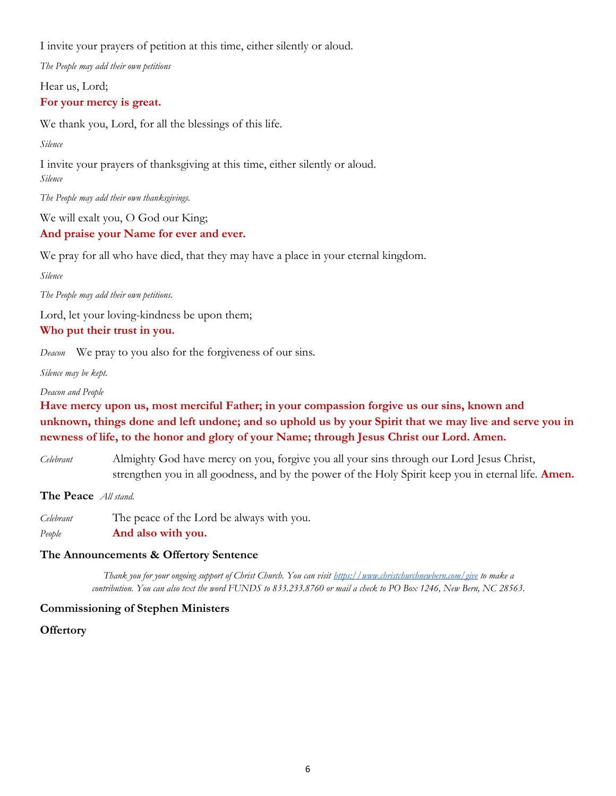I invite your prayers of petition at this time, either silently or aloud.

*The People may add their own petitions*

Hear us, Lord; **For your mercy is great.**

We thank you, Lord, for all the blessings of this life.

*Silence*

I invite your prayers of thanksgiving at this time, either silently or aloud. *Silence*

*The People may add their own thanksgivings.*

We will exalt you, O God our King; **And praise your Name for ever and ever.**

We pray for all who have died, that they may have a place in your eternal kingdom.

*Silence*

*The People may add their own petitions.*

Lord, let your loving-kindness be upon them; **Who put their trust in you.**

*Deacon* We pray to you also for the forgiveness of our sins.

*Silence may be kept.*

*Deacon and People*

**Have mercy upon us, most merciful Father; in your compassion forgive us our sins, known and**  unknown, things done and left undone; and so uphold us by your Spirit that we may live and serve you in **newness of life, to the honor and glory of your Name; through Jesus Christ our Lord. Amen.**

*Celebrant* Almighty God have mercy on you, forgive you all your sins through our Lord Jesus Christ, strengthen you in all goodness, and by the power of the Holy Spirit keep you in eternal life. **Amen.**

**The Peace** *All stand.*

*Celebrant* The peace of the Lord be always with you.

*People* **And also with you.**

# **The Announcements & Offertory Sentence**

*Thank you for your ongoing support of Christ Church. You can visit <https://www.christchurchnewbern.com/give> to make a contribution. You can also text the word FUNDS to 833.233.8760 or mail a check to PO Box 1246, New Bern, NC 28563.* 

#### **Commissioning of Stephen Ministers**

# **Offertory**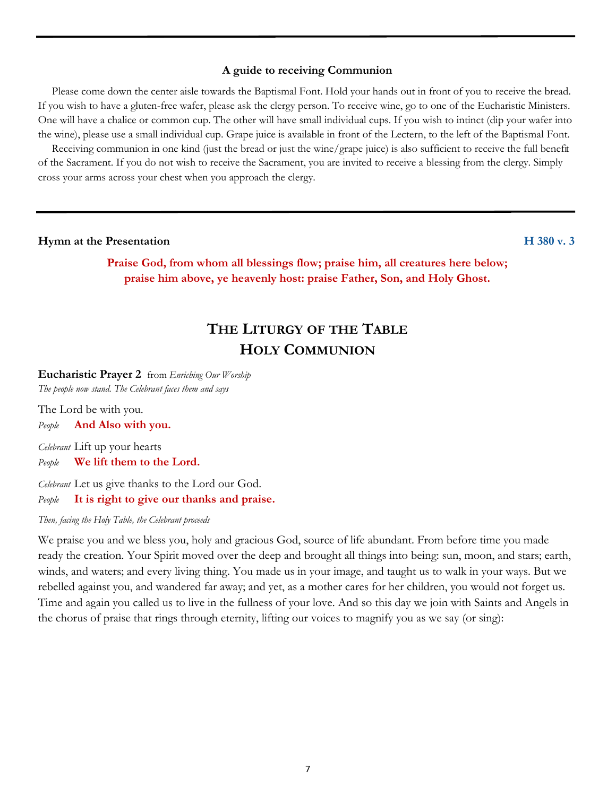#### **A guide to receiving Communion**

 Please come down the center aisle towards the Baptismal Font. Hold your hands out in front of you to receive the bread. If you wish to have a gluten-free wafer, please ask the clergy person. To receive wine, go to one of the Eucharistic Ministers. One will have a chalice or common cup. The other will have small individual cups. If you wish to intinct (dip your wafer into the wine), please use a small individual cup. Grape juice is available in front of the Lectern, to the left of the Baptismal Font.

 Receiving communion in one kind (just the bread or just the wine/grape juice) is also sufficient to receive the full benefit of the Sacrament. If you do not wish to receive the Sacrament, you are invited to receive a blessing from the clergy. Simply cross your arms across your chest when you approach the clergy.

#### **Hymn at the Presentation H 380 v. 3**

**Praise God, from whom all blessings flow; praise him, all creatures here below; praise him above, ye heavenly host: praise Father, Son, and Holy Ghost.**

# **THE LITURGY OF THE TABLE HOLY COMMUNION**

**Eucharistic Prayer 2** from *Enriching Our Worship The people now stand. The Celebrant faces them and says* 

The Lord be with you. *People* **And Also with you.**

*Celebrant* Lift up your hearts *People* **We lift them to the Lord.**

*Celebrant* Let us give thanks to the Lord our God. *People* **It is right to give our thanks and praise.**

#### *Then, facing the Holy Table, the Celebrant proceeds*

We praise you and we bless you, holy and gracious God, source of life abundant. From before time you made ready the creation. Your Spirit moved over the deep and brought all things into being: sun, moon, and stars; earth, winds, and waters; and every living thing. You made us in your image, and taught us to walk in your ways. But we rebelled against you, and wandered far away; and yet, as a mother cares for her children, you would not forget us. Time and again you called us to live in the fullness of your love. And so this day we join with Saints and Angels in the chorus of praise that rings through eternity, lifting our voices to magnify you as we say (or sing):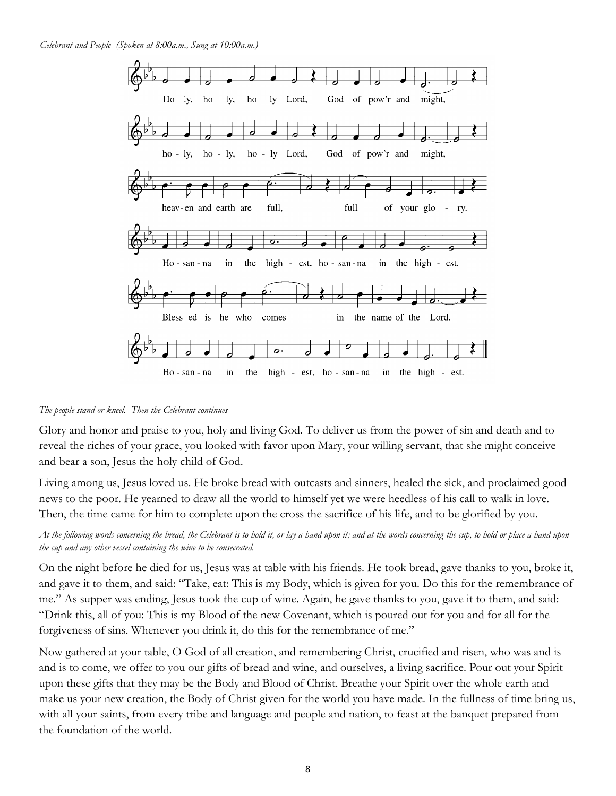

#### *The people stand or kneel. Then the Celebrant continues*

Glory and honor and praise to you, holy and living God. To deliver us from the power of sin and death and to reveal the riches of your grace, you looked with favor upon Mary, your willing servant, that she might conceive and bear a son, Jesus the holy child of God.

Living among us, Jesus loved us. He broke bread with outcasts and sinners, healed the sick, and proclaimed good news to the poor. He yearned to draw all the world to himself yet we were heedless of his call to walk in love. Then, the time came for him to complete upon the cross the sacrifice of his life, and to be glorified by you.

*At the following words concerning the bread, the Celebrant is to hold it, or lay a hand upon it; and at the words concerning the cup, to hold or place a hand upon the cup and any other vessel containing the wine to be consecrated.*

On the night before he died for us, Jesus was at table with his friends. He took bread, gave thanks to you, broke it, and gave it to them, and said: "Take, eat: This is my Body, which is given for you. Do this for the remembrance of me." As supper was ending, Jesus took the cup of wine. Again, he gave thanks to you, gave it to them, and said: "Drink this, all of you: This is my Blood of the new Covenant, which is poured out for you and for all for the forgiveness of sins. Whenever you drink it, do this for the remembrance of me."

Now gathered at your table, O God of all creation, and remembering Christ, crucified and risen, who was and is and is to come, we offer to you our gifts of bread and wine, and ourselves, a living sacrifice. Pour out your Spirit upon these gifts that they may be the Body and Blood of Christ. Breathe your Spirit over the whole earth and make us your new creation, the Body of Christ given for the world you have made. In the fullness of time bring us, with all your saints, from every tribe and language and people and nation, to feast at the banquet prepared from the foundation of the world.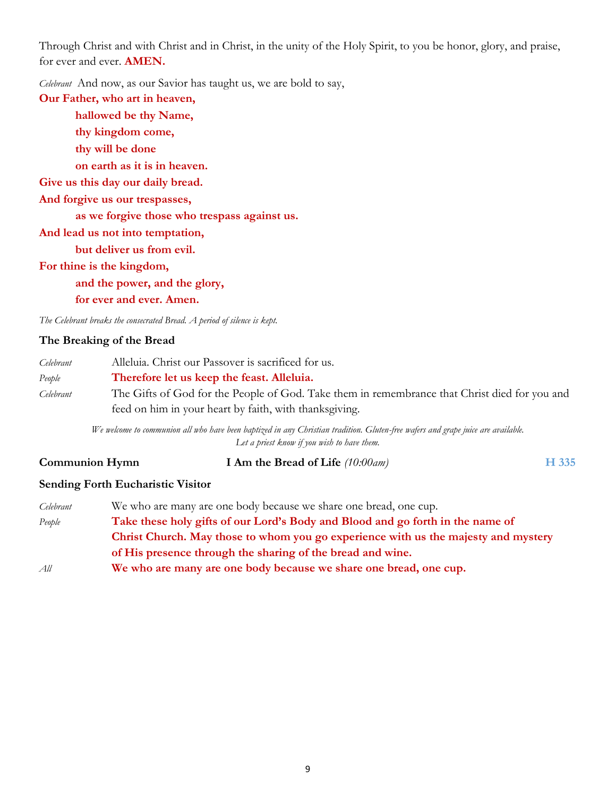Through Christ and with Christ and in Christ, in the unity of the Holy Spirit, to you be honor, glory, and praise, for ever and ever. **AMEN.**

*Celebrant* And now, as our Savior has taught us, we are bold to say,

**Our Father, who art in heaven, hallowed be thy Name, thy kingdom come, thy will be done on earth as it is in heaven. Give us this day our daily bread. And forgive us our trespasses, as we forgive those who trespass against us. And lead us not into temptation, but deliver us from evil. For thine is the kingdom, and the power, and the glory, for ever and ever. Amen.**

*The Celebrant breaks the consecrated Bread. A period of silence is kept.*

# **The Breaking of the Bread**

| Celebrant | Alleluia. Christ our Passover is sacrificed for us.                                                                              |
|-----------|----------------------------------------------------------------------------------------------------------------------------------|
| People    | Therefore let us keep the feast. Alleluia.                                                                                       |
| Celebrant | The Gifts of God for the People of God. Take them in remembrance that Christ died for you and                                    |
|           | feed on him in your heart by faith, with thanksgiving.                                                                           |
|           | We welcome to communion all who have been haptized in any Christian tradition. Gluten-free wafers and orape juice are available. |

*We welcome to communion all who have been baptized in any Christian tradition. Gluten-free wafers and grape juice are available. Let a priest know if you wish to have them.*

| <b>Communion Hymn</b> | I Am the Bread of Life $(10:00am)$ | H 335 |
|-----------------------|------------------------------------|-------|
|                       |                                    |       |

# **Sending Forth Eucharistic Visitor**

| Celebrant | We who are many are one body because we share one bread, one cup.                  |
|-----------|------------------------------------------------------------------------------------|
| People    | Take these holy gifts of our Lord's Body and Blood and go forth in the name of     |
|           | Christ Church. May those to whom you go experience with us the majesty and mystery |
|           | of His presence through the sharing of the bread and wine.                         |
| All       | We who are many are one body because we share one bread, one cup.                  |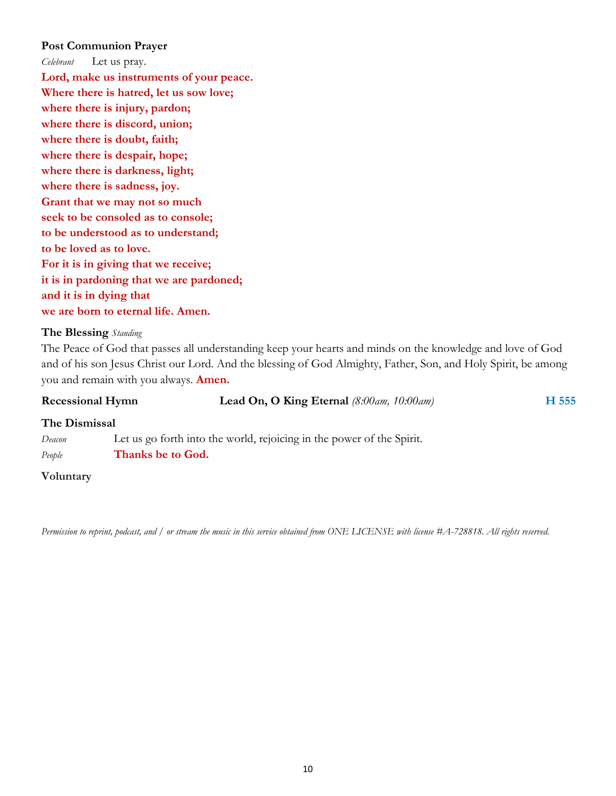### **Post Communion Prayer**

*Celebrant* Let us pray. **Lord, make us instruments of your peace. Where there is hatred, let us sow love; where there is injury, pardon; where there is discord, union; where there is doubt, faith; where there is despair, hope; where there is darkness, light; where there is sadness, joy. Grant that we may not so much seek to be consoled as to console; to be understood as to understand; to be loved as to love. For it is in giving that we receive; it is in pardoning that we are pardoned; and it is in dying that we are born to eternal life. Amen.**

### **The Blessing** *Standing*

The Peace of God that passes all understanding keep your hearts and minds on the knowledge and love of God and of his son Jesus Christ our Lord. And the blessing of God Almighty, Father, Son, and Holy Spirit, be among you and remain with you always. **Amen.**

| <b>Recessional Hymn</b> |                   | Lead On, O King Eternal $(8:00am, 10:00am)$                           | H 555 |
|-------------------------|-------------------|-----------------------------------------------------------------------|-------|
| The Dismissal           |                   |                                                                       |       |
| Deacon                  |                   | Let us go forth into the world, rejoicing in the power of the Spirit. |       |
| People                  | Thanks be to God. |                                                                       |       |
| Voluntary               |                   |                                                                       |       |

*Permission to reprint, podcast, and / or stream the music in this service obtained from ONE LICENSE with license #A-728818. All rights reserved.*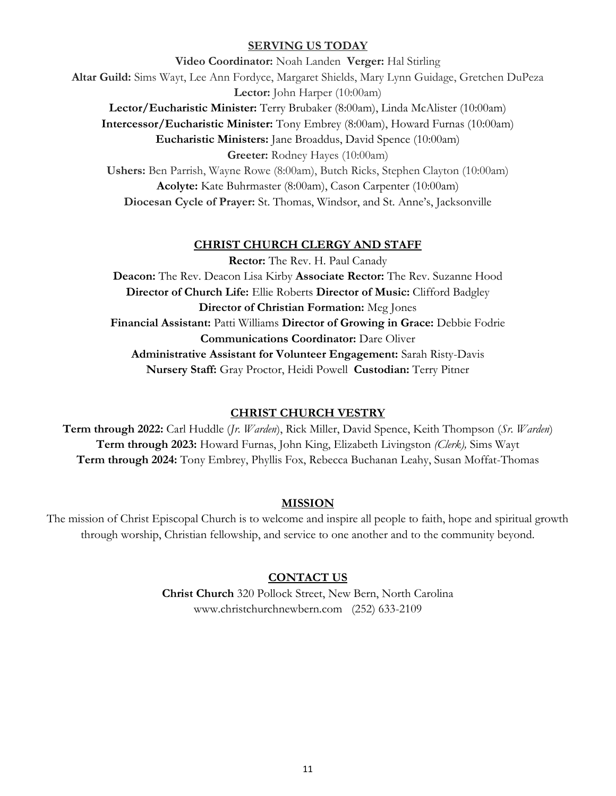#### **SERVING US TODAY**

**Video Coordinator:** Noah Landen **Verger:** Hal Stirling **Altar Guild:** Sims Wayt, Lee Ann Fordyce, Margaret Shields, Mary Lynn Guidage, Gretchen DuPeza **Lector:** John Harper (10:00am) **Lector/Eucharistic Minister:** Terry Brubaker (8:00am), Linda McAlister (10:00am) **Intercessor/Eucharistic Minister:** Tony Embrey (8:00am), Howard Furnas (10:00am) **Eucharistic Ministers:** Jane Broaddus, David Spence (10:00am) **Greeter:** Rodney Hayes (10:00am) **Ushers:** Ben Parrish, Wayne Rowe (8:00am), Butch Ricks, Stephen Clayton (10:00am) **Acolyte:** Kate Buhrmaster (8:00am), Cason Carpenter (10:00am) **Diocesan Cycle of Prayer:** St. Thomas, Windsor, and St. Anne's, Jacksonville

### **CHRIST CHURCH CLERGY AND STAFF**

**Rector:** The Rev. H. Paul Canady **Deacon:** The Rev. Deacon Lisa Kirby **Associate Rector:** The Rev. Suzanne Hood **Director of Church Life:** Ellie Roberts **Director of Music:** Clifford Badgley **Director of Christian Formation:** Meg Jones **Financial Assistant:** Patti Williams **Director of Growing in Grace:** Debbie Fodrie **Communications Coordinator:** Dare Oliver **Administrative Assistant for Volunteer Engagement:** Sarah Risty-Davis **Nursery Staff:** Gray Proctor, Heidi Powell **Custodian:** Terry Pitner

#### **CHRIST CHURCH VESTRY**

**Term through 2022:** Carl Huddle (*Jr. Warden*), Rick Miller, David Spence, Keith Thompson (*Sr. Warden*) **Term through 2023:** Howard Furnas, John King, Elizabeth Livingston *(Clerk),* Sims Wayt **Term through 2024:** Tony Embrey, Phyllis Fox, Rebecca Buchanan Leahy, Susan Moffat-Thomas

#### **MISSION**

The mission of Christ Episcopal Church is to welcome and inspire all people to faith, hope and spiritual growth through worship, Christian fellowship, and service to one another and to the community beyond.

#### **CONTACT US**

**Christ Church** 320 Pollock Street, New Bern, North Carolina www.christchurchnewbern.com (252) 633-2109